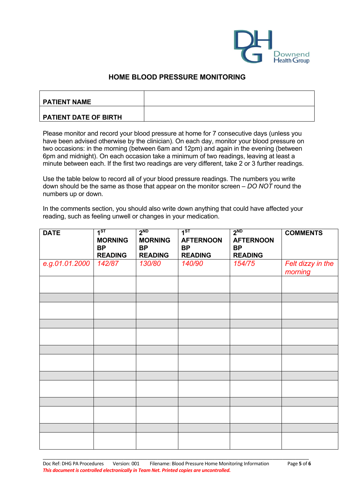

## **HOME BLOOD PRESSURE MONITORING**

| <b>PATIENT NAME</b>   |  |
|-----------------------|--|
| PATIENT DATE OF BIRTH |  |

Please monitor and record your blood pressure at home for 7 consecutive days (unless you have been advised otherwise by the clinician). On each day, monitor your blood pressure on two occasions: in the morning (between 6am and 12pm) and again in the evening (between 6pm and midnight). On each occasion take a minimum of two readings, leaving at least a minute between each. If the first two readings are very different, take 2 or 3 further readings.

Use the table below to record all of your blood pressure readings. The numbers you write down should be the same as those that appear on the monitor screen – *DO NOT* round the numbers up or down.

In the comments section, you should also write down anything that could have affected your reading, such as feeling unwell or changes in your medication.

| <b>DATE</b>    | 1 <sup>ST</sup><br><b>MORNING</b><br><b>BP</b><br><b>READING</b> | 2 <sub>ND</sub><br><b>MORNING</b><br><b>BP</b><br><b>READING</b> | 1 <sup>ST</sup><br><b>AFTERNOON</b><br><b>BP</b><br><b>READING</b> | 2 <sub>ND</sub><br><b>AFTERNOON</b><br><b>BP</b><br><b>READING</b> | <b>COMMENTS</b>              |
|----------------|------------------------------------------------------------------|------------------------------------------------------------------|--------------------------------------------------------------------|--------------------------------------------------------------------|------------------------------|
| e.g.01.01.2000 | 142/87                                                           | 130/80                                                           | 140/90                                                             | 154/75                                                             | Felt dizzy in the<br>morning |
|                |                                                                  |                                                                  |                                                                    |                                                                    |                              |
|                |                                                                  |                                                                  |                                                                    |                                                                    |                              |
|                |                                                                  |                                                                  |                                                                    |                                                                    |                              |
|                |                                                                  |                                                                  |                                                                    |                                                                    |                              |
|                |                                                                  |                                                                  |                                                                    |                                                                    |                              |
|                |                                                                  |                                                                  |                                                                    |                                                                    |                              |
|                |                                                                  |                                                                  |                                                                    |                                                                    |                              |
|                |                                                                  |                                                                  |                                                                    |                                                                    |                              |
|                |                                                                  |                                                                  |                                                                    |                                                                    |                              |
|                |                                                                  |                                                                  |                                                                    |                                                                    |                              |
|                |                                                                  |                                                                  |                                                                    |                                                                    |                              |
|                |                                                                  |                                                                  |                                                                    |                                                                    |                              |
|                |                                                                  |                                                                  |                                                                    |                                                                    |                              |

\_\_\_\_\_\_\_\_\_\_\_\_\_\_\_\_\_\_\_\_\_\_\_\_\_\_\_\_\_\_\_\_\_\_\_\_\_\_\_\_\_\_\_\_\_\_\_\_\_\_\_\_\_\_\_\_\_\_\_\_\_\_\_\_\_\_\_\_\_\_\_\_\_\_\_\_\_\_\_\_\_\_\_\_\_\_\_\_\_\_\_\_\_\_\_\_\_\_\_\_\_\_